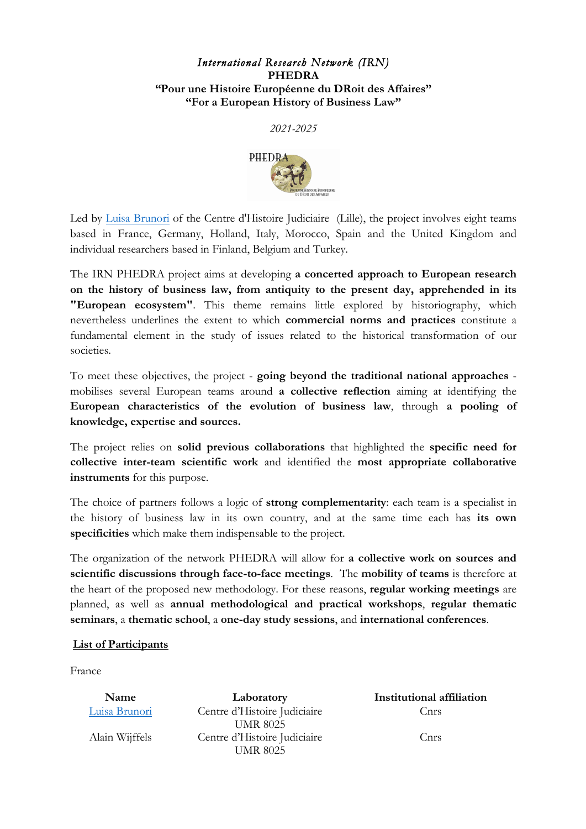## *International Research Network (IRN)*  **PHEDRA "Pour une Histoire Européenne du DRoit des Affaires" "For a European History of Business Law"**

*2021-2025*



Led by Luisa Brunori of the Centre d'Histoire Judiciaire (Lille), the project involves eight teams based in France, Germany, Holland, Italy, Morocco, Spain and the United Kingdom and individual researchers based in Finland, Belgium and Turkey.

The IRN PHEDRA project aims at developing **a concerted approach to European research on the history of business law, from antiquity to the present day, apprehended in its "European ecosystem"**. This theme remains little explored by historiography, which nevertheless underlines the extent to which **commercial norms and practices** constitute a fundamental element in the study of issues related to the historical transformation of our societies.

To meet these objectives, the project - **going beyond the traditional national approaches** mobilises several European teams around **a collective reflection** aiming at identifying the **European characteristics of the evolution of business law**, through **a pooling of knowledge, expertise and sources.**

The project relies on **solid previous collaborations** that highlighted the **specific need for collective inter-team scientific work** and identified the **most appropriate collaborative instruments** for this purpose.

The choice of partners follows a logic of **strong complementarity**: each team is a specialist in the history of business law in its own country, and at the same time each has **its own specificities** which make them indispensable to the project.

The organization of the network PHEDRA will allow for **a collective work on sources and scientific discussions through face-to-face meetings**. The **mobility of teams** is therefore at the heart of the proposed new methodology. For these reasons, **regular working meetings** are planned, as well as **annual methodological and practical workshops**, **regular thematic seminars**, a **thematic school**, a **one-day study sessions**, and **international conferences**.

## **List of Participants**

France

| Name           | Laboratory                   | Institutional affiliation |
|----------------|------------------------------|---------------------------|
| Luisa Brunori  | Centre d'Histoire Judiciaire | Cnrs                      |
|                | <b>UMR 8025</b>              |                           |
| Alain Wijffels | Centre d'Histoire Judiciaire | Cnrs                      |
|                | <b>UMR 8025</b>              |                           |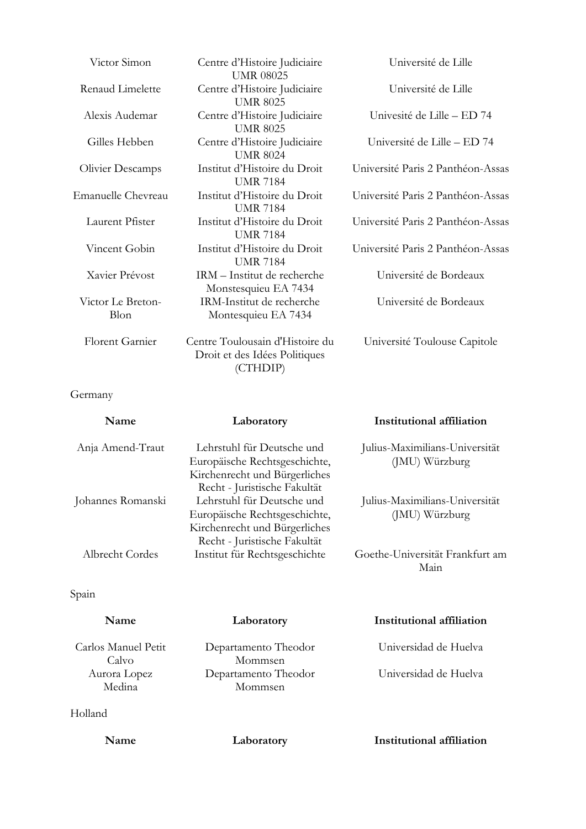| Victor Simon              | Centre d'Histoire Judiciaire<br><b>UMR 08025</b>                             | Université de Lille               |
|---------------------------|------------------------------------------------------------------------------|-----------------------------------|
| Renaud Limelette          | Centre d'Histoire Judiciaire<br><b>UMR 8025</b>                              | Université de Lille               |
| Alexis Audemar            | Centre d'Histoire Judiciaire<br><b>UMR 8025</b>                              | Univesité de Lille – ED 74        |
| Gilles Hebben             | Centre d'Histoire Judiciaire<br><b>UMR 8024</b>                              | Université de Lille - ED 74       |
| <b>Olivier Descamps</b>   | Institut d'Histoire du Droit<br><b>UMR 7184</b>                              | Université Paris 2 Panthéon-Assas |
| Emanuelle Chevreau        | Institut d'Histoire du Droit<br><b>UMR 7184</b>                              | Université Paris 2 Panthéon-Assas |
| Laurent Pfister           | Institut d'Histoire du Droit<br><b>UMR 7184</b>                              | Université Paris 2 Panthéon-Assas |
| Vincent Gobin             | Institut d'Histoire du Droit<br><b>UMR 7184</b>                              | Université Paris 2 Panthéon-Assas |
| Xavier Prévost            | IRM - Institut de recherche<br>Monstesquieu EA 7434                          | Université de Bordeaux            |
| Victor Le Breton-<br>Blon | IRM-Institut de recherche<br>Montesquieu EA 7434                             | Université de Bordeaux            |
| <b>Florent Garnier</b>    | Centre Toulousain d'Histoire du<br>Droit et des Idées Politiques<br>(CTHDIP) | Université Toulouse Capitole      |

## Germany

| Name              | Laboratory                    | Institutional affiliation       |
|-------------------|-------------------------------|---------------------------------|
| Anja Amend-Traut  | Lehrstuhl für Deutsche und    | Julius-Maximilians-Universität  |
|                   | Europäische Rechtsgeschichte, | (JMU) Würzburg                  |
|                   | Kirchenrecht und Bürgerliches |                                 |
|                   | Recht - Juristische Fakultät  |                                 |
| Johannes Romanski | Lehrstuhl für Deutsche und    | Julius-Maximilians-Universität  |
|                   | Europäische Rechtsgeschichte, | (JMU) Würzburg                  |
|                   | Kirchenrecht und Bürgerliches |                                 |
|                   | Recht - Juristische Fakultät  |                                 |
| Albrecht Cordes   | Institut für Rechtsgeschichte | Goethe-Universität Frankfurt am |
|                   |                               | Main                            |

## Spain

| Name                         | Laboratory                      | Institutional affiliation |
|------------------------------|---------------------------------|---------------------------|
| Carlos Manuel Petit<br>Calvo | Departamento Theodor<br>Mommsen | Universidad de Huelva     |
| Aurora Lopez<br>Medina       | Departamento Theodor<br>Mommsen | Universidad de Huelva     |
| Holland                      |                                 |                           |

**Name Laboratory Institutional affiliation**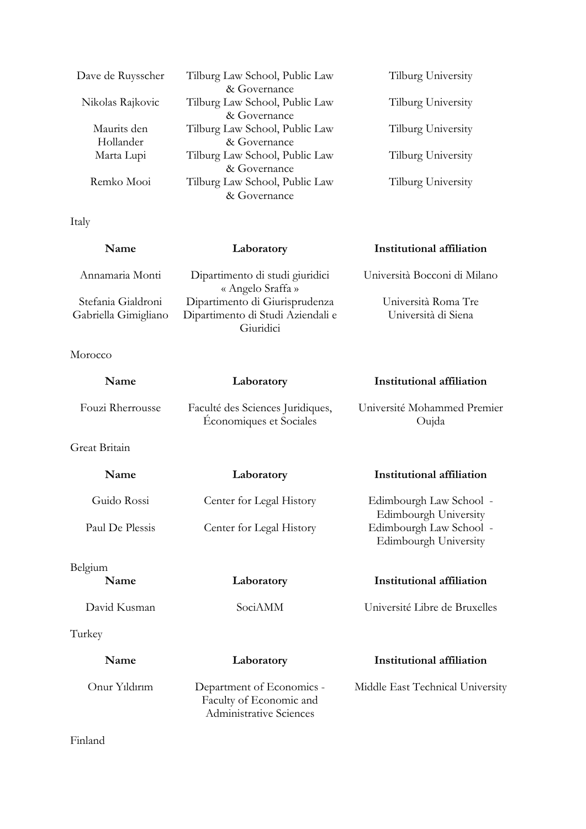| Dave de Ruysscher | Tilburg Law School, Public Law | Tilburg University |
|-------------------|--------------------------------|--------------------|
|                   | & Governance                   |                    |
| Nikolas Rajkovic  | Tilburg Law School, Public Law | Tilburg University |
|                   | & Governance                   |                    |
| Maurits den       | Tilburg Law School, Public Law | Tilburg University |
| Hollander         | & Governance                   |                    |
| Marta Lupi        | Tilburg Law School, Public Law | Tilburg University |
|                   | & Governance                   |                    |
| Remko Mooi        | Tilburg Law School, Public Law | Tilburg University |
|                   | & Governance                   |                    |

Italy

| Name                 | Laboratory                                           | <b>Institutional affiliation</b> |
|----------------------|------------------------------------------------------|----------------------------------|
| Annamaria Monti      | Dipartimento di studi giuridici<br>« Angelo Sraffa » | Università Bocconi di Milano     |
| Stefania Gialdroni   | Dipartimento di Giurisprudenza                       | Università Roma Tre              |
| Gabriella Gimigliano | Dipartimento di Studi Aziendali e                    | Università di Siena              |
|                      | Giuridici                                            |                                  |

Morocco

| Name             | Laboratory                                                                      | Institutional affiliation                        |
|------------------|---------------------------------------------------------------------------------|--------------------------------------------------|
| Fouzi Rherrousse | Faculté des Sciences Juridiques,<br>Économiques et Sociales                     | Université Mohammed Premier<br>Oujda             |
| Great Britain    |                                                                                 |                                                  |
| Name             | Laboratory                                                                      | Institutional affiliation                        |
| Guido Rossi      | Center for Legal History                                                        | Edimbourgh Law School -<br>Edimbourgh University |
| Paul De Plessis  | Center for Legal History                                                        | Edimbourgh Law School -<br>Edimbourgh University |
| Belgium<br>Name  | Laboratory                                                                      | Institutional affiliation                        |
| David Kusman     | SociAMM                                                                         | Université Libre de Bruxelles                    |
| Turkey           |                                                                                 |                                                  |
| Name             | Laboratory                                                                      | Institutional affiliation                        |
| Onur Yıldırım    | Department of Economics -<br>Faculty of Economic and<br>Administrative Sciences | Middle East Technical University                 |

Finland